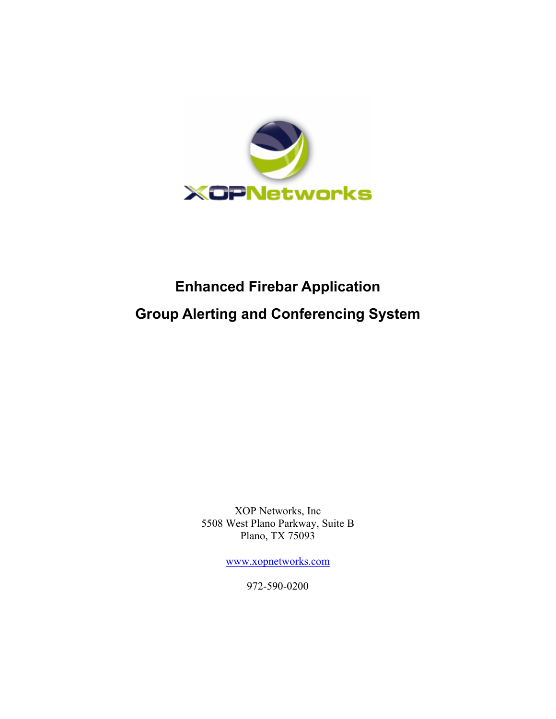

# **Enhanced Firebar Application Group Alerting and Conferencing System**

XOP Networks, Inc 5508 West Plano Parkway, Suite B Plano, TX 75093

[www.xopnetworks.com](http://www.xopnetworks.com/)

972-590-0200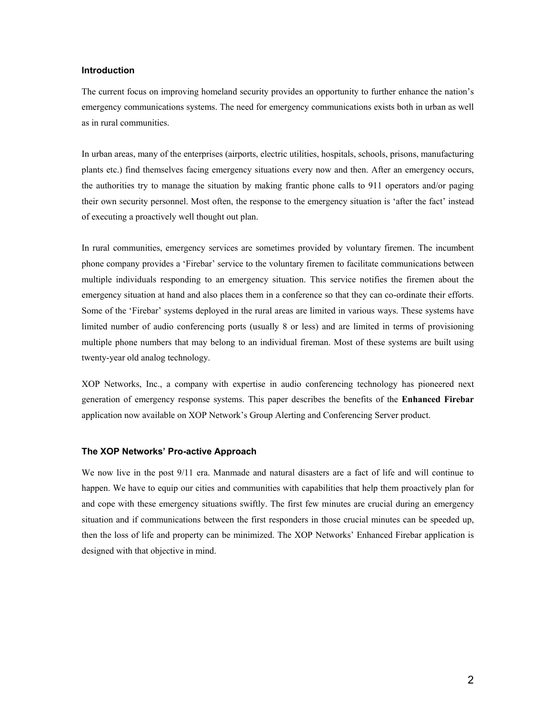# **Introduction**

The current focus on improving homeland security provides an opportunity to further enhance the nation's emergency communications systems. The need for emergency communications exists both in urban as well as in rural communities.

In urban areas, many of the enterprises (airports, electric utilities, hospitals, schools, prisons, manufacturing plants etc.) find themselves facing emergency situations every now and then. After an emergency occurs, the authorities try to manage the situation by making frantic phone calls to 911 operators and/or paging their own security personnel. Most often, the response to the emergency situation is 'after the fact' instead of executing a proactively well thought out plan.

In rural communities, emergency services are sometimes provided by voluntary firemen. The incumbent phone company provides a 'Firebar' service to the voluntary firemen to facilitate communications between multiple individuals responding to an emergency situation. This service notifies the firemen about the emergency situation at hand and also places them in a conference so that they can co-ordinate their efforts. Some of the 'Firebar' systems deployed in the rural areas are limited in various ways. These systems have limited number of audio conferencing ports (usually 8 or less) and are limited in terms of provisioning multiple phone numbers that may belong to an individual fireman. Most of these systems are built using twenty-year old analog technology.

XOP Networks, Inc., a company with expertise in audio conferencing technology has pioneered next generation of emergency response systems. This paper describes the benefits of the **Enhanced Firebar** application now available on XOP Network's Group Alerting and Conferencing Server product.

#### **The XOP Networks' Pro-active Approach**

We now live in the post 9/11 era. Manmade and natural disasters are a fact of life and will continue to happen. We have to equip our cities and communities with capabilities that help them proactively plan for and cope with these emergency situations swiftly. The first few minutes are crucial during an emergency situation and if communications between the first responders in those crucial minutes can be speeded up, then the loss of life and property can be minimized. The XOP Networks' Enhanced Firebar application is designed with that objective in mind.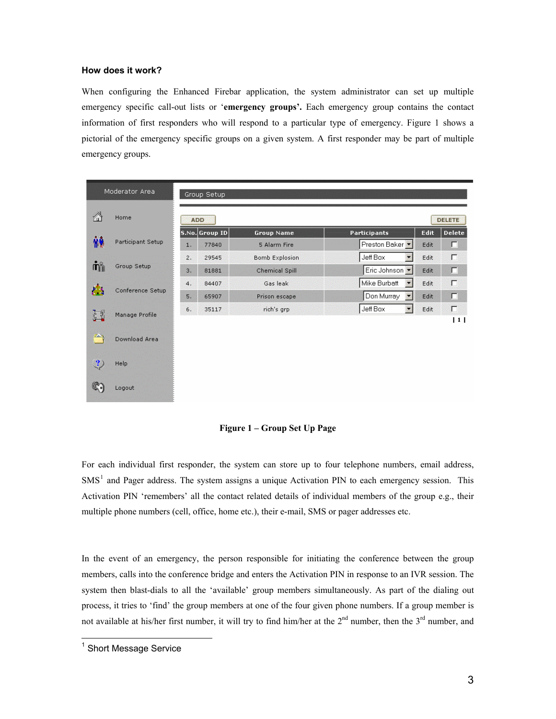# **How does it work?**

When configuring the Enhanced Firebar application, the system administrator can set up multiple emergency specific call-out lists or '**emergency groups'.** Each emergency group contains the contact information of first responders who will respond to a particular type of emergency. Figure 1 shows a pictorial of the emergency specific groups on a given system. A first responder may be part of multiple emergency groups.

|                | Moderator Area    |    | Group Setup    |                       |                     |      |               |  |
|----------------|-------------------|----|----------------|-----------------------|---------------------|------|---------------|--|
| ⚠              | Home              |    | <b>ADD</b>     |                       |                     |      | <b>DELETE</b> |  |
| ₩              | Participant Setup |    | S.No. Group ID | <b>Group Name</b>     | <b>Participants</b> | Edit | <b>Delete</b> |  |
|                |                   | Œ  | 77840          | 5 Alarm Fire          | Preston Baker       | Edit | г             |  |
| πň             | Group Setup       | 2. | 29545          | <b>Bomb Explosion</b> | Jeff Box<br>۰       | Edit | г             |  |
|                |                   | W. | 81881          | <b>Chemical Spill</b> | Eric Johnson        | Edit | г             |  |
| 73             | Conference Setup  | 4. | 84407          | Gas leak              | Mike Burbatt<br>ю   | Edit | г             |  |
|                |                   | ÆЮ | 65907          | Prison escape.        | Don Murray<br>ы     | Edit | г             |  |
| $\mathbb{Z}^3$ | Manage Profile    | 6. | 35117          | rich's grp            | Jeff Box<br>鷪       | Edit | П             |  |
|                |                   |    |                |                       |                     |      | 1             |  |
| ×              | Download Area     |    |                |                       |                     |      |               |  |
| $\mathbf{?}$   | Help              |    |                |                       |                     |      |               |  |
|                | Logout            |    |                |                       |                     |      |               |  |

**Figure 1 – Group Set Up Page**

For each individual first responder, the system can store up to four telephone numbers, email address,  $SMS<sup>1</sup>$  and Pager address. The system assigns a unique Activation PIN to each emergency session. This Activation PIN 'remembers' all the contact related details of individual members of the group e.g., their multiple phone numbers (cell, office, home etc.), their e-mail, SMS or pager addresses etc.

In the event of an emergency, the person responsible for initiating the conference between the group members, calls into the conference bridge and enters the Activation PIN in response to an IVR session. The system then blast-dials to all the 'available' group members simultaneously. As part of the dialing out process, it tries to 'find' the group members at one of the four given phone numbers. If a group member is not available at his/her first number, it will try to find him/her at the  $2^{nd}$  number, then the  $3^{rd}$  number, and

 $\overline{a}$ 

<sup>&</sup>lt;sup>1</sup> Short Message Service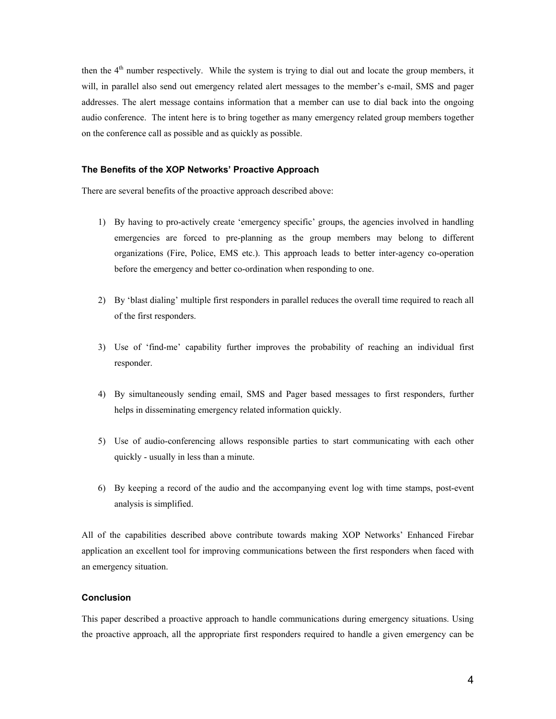then the 4<sup>th</sup> number respectively. While the system is trying to dial out and locate the group members, it will, in parallel also send out emergency related alert messages to the member's e-mail, SMS and pager addresses. The alert message contains information that a member can use to dial back into the ongoing audio conference. The intent here is to bring together as many emergency related group members together on the conference call as possible and as quickly as possible.

### **The Benefits of the XOP Networks' Proactive Approach**

There are several benefits of the proactive approach described above:

- 1) By having to pro-actively create 'emergency specific' groups, the agencies involved in handling emergencies are forced to pre-planning as the group members may belong to different organizations (Fire, Police, EMS etc.). This approach leads to better inter-agency co-operation before the emergency and better co-ordination when responding to one.
- ) By 'blast dialing' multiple first responders in parallel reduces the overall time required to reach all 2 of the first responders.
- 3) Use of 'find-me' capability further improves the probability of reaching an individual first responder.
- 4) By simultaneously sending email, SMS and Pager based messages to first responders, further helps in disseminating emergency related information quickly.
- 5) Use of audio-conferencing allows responsible parties to start communicating with each other quickly - usually in less than a minute.
- 6) By keeping a record of the audio and the accompanying event log with time stamps, post-event analysis is simplified.

All of the capabilities described above contribute towards making XOP Networks' Enhanced Firebar application an excellent tool for improving communications between the first responders when faced with an emergency situation.

#### **onclusion C**

This paper described a proactive approach to handle communications during emergency situations. Using the proactive approach, all the appropriate first responders required to handle a given emergency can be